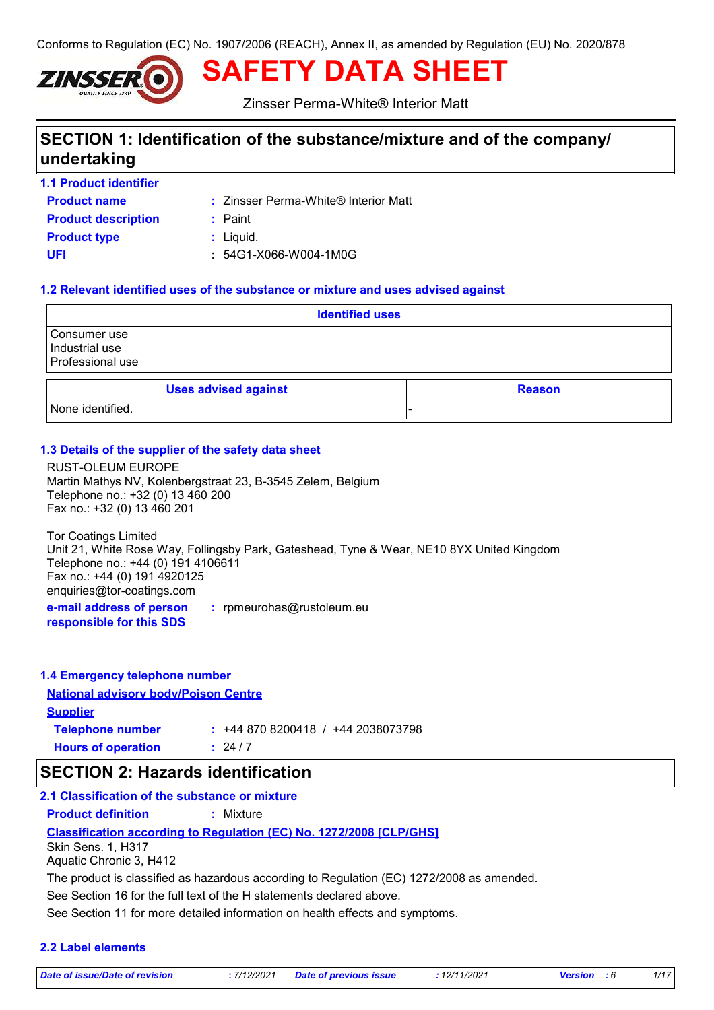Conforms to Regulation (EC) No. 1907/2006 (REACH), Annex II, as amended by Regulation (EU) No. 2020/878



**SAFETY DATA SHEET**

Zinsser Perma-White® Interior Matt

# **SECTION 1: Identification of the substance/mixture and of the company/ undertaking**

**1.1 Product identifier**

- 
- **Product name**  $\qquad :: Z$ insser Perma-White® Interior Matt

**Product type**  $\qquad$ **:** Liquid. **Product description :** Paint **UFI :** 54G1-X066-W004-1M0G

# **1.2 Relevant identified uses of the substance or mixture and uses advised against**

| <b>Identified uses</b>                             |  |               |  |
|----------------------------------------------------|--|---------------|--|
| Consumer use<br>Industrial use<br>Professional use |  |               |  |
| <b>Uses advised against</b>                        |  | <b>Reason</b> |  |
| None identified.                                   |  |               |  |

# **1.3 Details of the supplier of the safety data sheet**

RUST-OLEUM EUROPE Martin Mathys NV, Kolenbergstraat 23, B-3545 Zelem, Belgium Telephone no.: +32 (0) 13 460 200 Fax no.: +32 (0) 13 460 201

**e-mail address of person :** rpmeurohas@rustoleum.eu Tor Coatings Limited Unit 21, White Rose Way, Follingsby Park, Gateshead, Tyne & Wear, NE10 8YX United Kingdom Telephone no.: +44 (0) 191 4106611 Fax no.: +44 (0) 191 4920125 enquiries@tor-coatings.com

**responsible for this SDS**

| 1.4 Emergency telephone number              |                                   |
|---------------------------------------------|-----------------------------------|
| <b>National advisory body/Poison Centre</b> |                                   |
| <b>Supplier</b>                             |                                   |
| <b>Telephone number</b>                     | $: +448708200418 / +442038073798$ |
| <b>Hours of operation</b>                   | : 24/7                            |

### **SECTION 2: Hazards identification**

**Classification according to Regulation (EC) No. 1272/2008 [CLP/GHS] 2.1 Classification of the substance or mixture Product definition :** Mixture See Section 16 for the full text of the H statements declared above. Skin Sens. 1, H317 Aquatic Chronic 3, H412 The product is classified as hazardous according to Regulation (EC) 1272/2008 as amended.

See Section 11 for more detailed information on health effects and symptoms.

#### **2.2 Label elements**

*Date of issue/Date of revision* **:** *7/12/2021 Date of previous issue : 12/11/2021 Version : 6 1/17*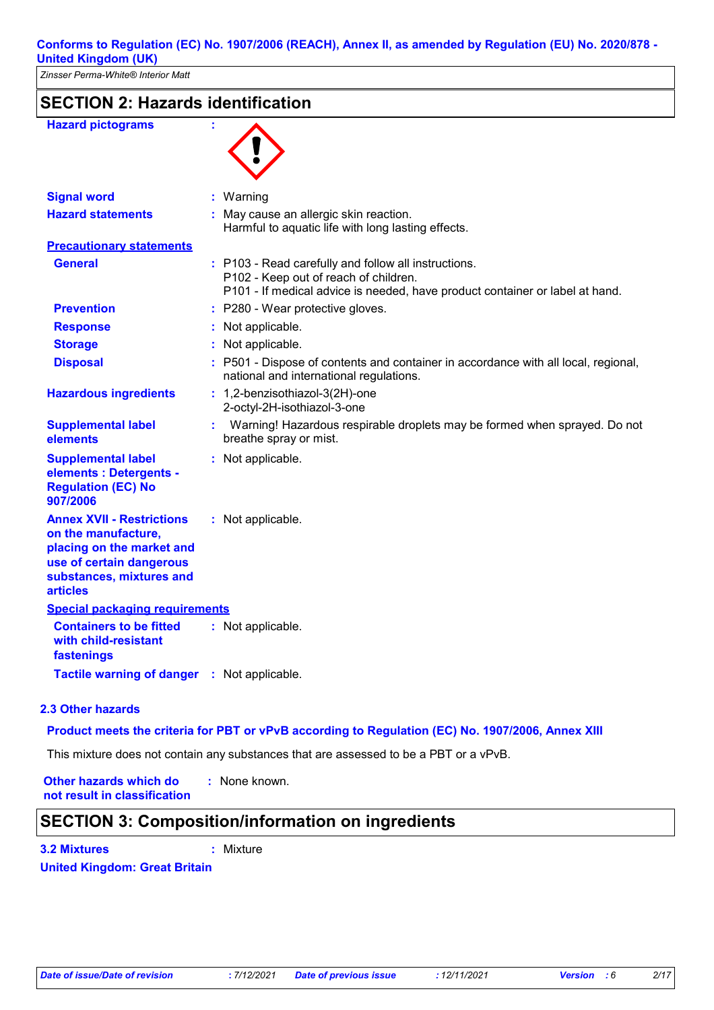| <b>SECTION 2: Hazards identification</b>                                                                                                                        |  |                                                                                                                                                                               |
|-----------------------------------------------------------------------------------------------------------------------------------------------------------------|--|-------------------------------------------------------------------------------------------------------------------------------------------------------------------------------|
| <b>Hazard pictograms</b>                                                                                                                                        |  |                                                                                                                                                                               |
| <b>Signal word</b>                                                                                                                                              |  | : Warning                                                                                                                                                                     |
| <b>Hazard statements</b>                                                                                                                                        |  | : May cause an allergic skin reaction.<br>Harmful to aquatic life with long lasting effects.                                                                                  |
| <b>Precautionary statements</b>                                                                                                                                 |  |                                                                                                                                                                               |
| <b>General</b>                                                                                                                                                  |  | : P103 - Read carefully and follow all instructions.<br>P102 - Keep out of reach of children.<br>P101 - If medical advice is needed, have product container or label at hand. |
| <b>Prevention</b>                                                                                                                                               |  | : P280 - Wear protective gloves.                                                                                                                                              |
| <b>Response</b>                                                                                                                                                 |  | : Not applicable.                                                                                                                                                             |
| <b>Storage</b>                                                                                                                                                  |  | Not applicable.                                                                                                                                                               |
| <b>Disposal</b>                                                                                                                                                 |  | : P501 - Dispose of contents and container in accordance with all local, regional,<br>national and international regulations.                                                 |
| <b>Hazardous ingredients</b>                                                                                                                                    |  | : 1,2-benzisothiazol-3(2H)-one<br>2-octyl-2H-isothiazol-3-one                                                                                                                 |
| <b>Supplemental label</b><br>elements                                                                                                                           |  | Warning! Hazardous respirable droplets may be formed when sprayed. Do not<br>breathe spray or mist.                                                                           |
| <b>Supplemental label</b><br>elements : Detergents -<br><b>Regulation (EC) No</b><br>907/2006                                                                   |  | : Not applicable.                                                                                                                                                             |
| <b>Annex XVII - Restrictions</b><br>on the manufacture,<br>placing on the market and<br>use of certain dangerous<br>substances, mixtures and<br><b>articles</b> |  | : Not applicable.                                                                                                                                                             |
| <b>Special packaging requirements</b>                                                                                                                           |  |                                                                                                                                                                               |
| <b>Containers to be fitted</b><br>with child-resistant<br>fastenings                                                                                            |  | : Not applicable.                                                                                                                                                             |
| <b>Tactile warning of danger</b>                                                                                                                                |  | : Not applicable.                                                                                                                                                             |

#### **2.3 Other hazards**

#### **Product meets the criteria for PBT or vPvB according to Regulation (EC) No. 1907/2006, Annex XIII**

This mixture does not contain any substances that are assessed to be a PBT or a vPvB.

**Other hazards which do : not result in classification** : None known.

### **SECTION 3: Composition/information on ingredients**

**3.2 Mixtures :** Mixture

**United Kingdom: Great Britain**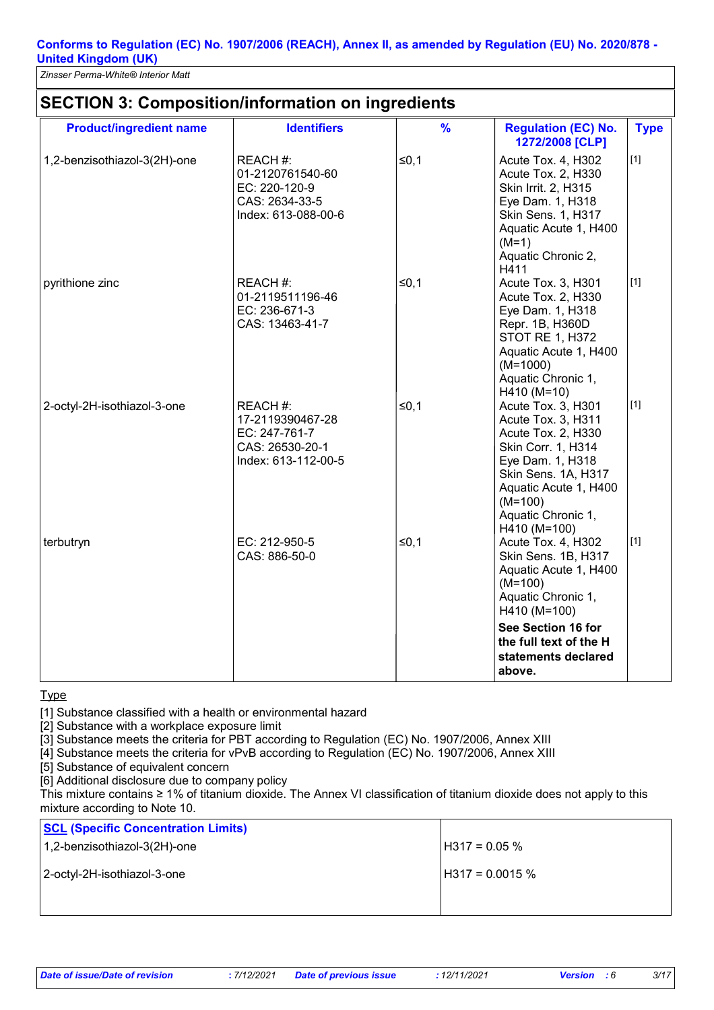*Zinsser Perma-White® Interior Matt*

| <b>Product/ingredient name</b> | <b>Identifiers</b>                                                                      | $\%$   | <b>Regulation (EC) No.</b><br>1272/2008 [CLP]                                                                                                                                                               | <b>Type</b> |
|--------------------------------|-----------------------------------------------------------------------------------------|--------|-------------------------------------------------------------------------------------------------------------------------------------------------------------------------------------------------------------|-------------|
| 1,2-benzisothiazol-3(2H)-one   | REACH #:<br>01-2120761540-60<br>EC: 220-120-9<br>CAS: 2634-33-5<br>Index: 613-088-00-6  | $≤0,1$ | Acute Tox. 4, H302<br>Acute Tox. 2, H330<br>Skin Irrit. 2, H315<br>Eye Dam. 1, H318<br>Skin Sens. 1, H317<br>Aquatic Acute 1, H400<br>$(M=1)$<br>Aquatic Chronic 2,<br>H411                                 | $[1]$       |
| pyrithione zinc                | REACH #:<br>01-2119511196-46<br>EC: 236-671-3<br>CAS: 13463-41-7                        | $≤0,1$ | Acute Tox. 3, H301<br>Acute Tox. 2, H330<br>Eye Dam. 1, H318<br>Repr. 1B, H360D<br><b>STOT RE 1, H372</b><br>Aquatic Acute 1, H400<br>$(M=1000)$<br>Aquatic Chronic 1,<br>H410 (M=10)                       | $[1]$       |
| 2-octyl-2H-isothiazol-3-one    | REACH #:<br>17-2119390467-28<br>EC: 247-761-7<br>CAS: 26530-20-1<br>Index: 613-112-00-5 | $≤0,1$ | Acute Tox. 3, H301<br>Acute Tox. 3, H311<br>Acute Tox. 2, H330<br>Skin Corr. 1, H314<br>Eye Dam. 1, H318<br>Skin Sens. 1A, H317<br>Aquatic Acute 1, H400<br>$(M=100)$<br>Aquatic Chronic 1,<br>H410 (M=100) | $[1]$       |
| terbutryn                      | EC: 212-950-5<br>CAS: 886-50-0                                                          | $≤0,1$ | Acute Tox. 4, H302<br>Skin Sens. 1B, H317<br>Aquatic Acute 1, H400<br>$(M=100)$<br>Aquatic Chronic 1,<br>H410 (M=100)<br>See Section 16 for                                                                 | $[1]$       |
|                                |                                                                                         |        | the full text of the H<br>statements declared<br>above.                                                                                                                                                     |             |

#### **Type**

[1] Substance classified with a health or environmental hazard

[2] Substance with a workplace exposure limit

[3] Substance meets the criteria for PBT according to Regulation (EC) No. 1907/2006, Annex XIII

[4] Substance meets the criteria for vPvB according to Regulation (EC) No. 1907/2006, Annex XIII

[5] Substance of equivalent concern

[6] Additional disclosure due to company policy

This mixture contains ≥ 1% of titanium dioxide. The Annex VI classification of titanium dioxide does not apply to this mixture according to Note 10.

| <b>SCL (Specific Concentration Limits)</b> |                   |
|--------------------------------------------|-------------------|
| 1,2-benzisothiazol-3(2H)-one               | $H317 = 0.05 \%$  |
| 2-octyl-2H-isothiazol-3-one                | $H317 = 0.0015 %$ |
|                                            |                   |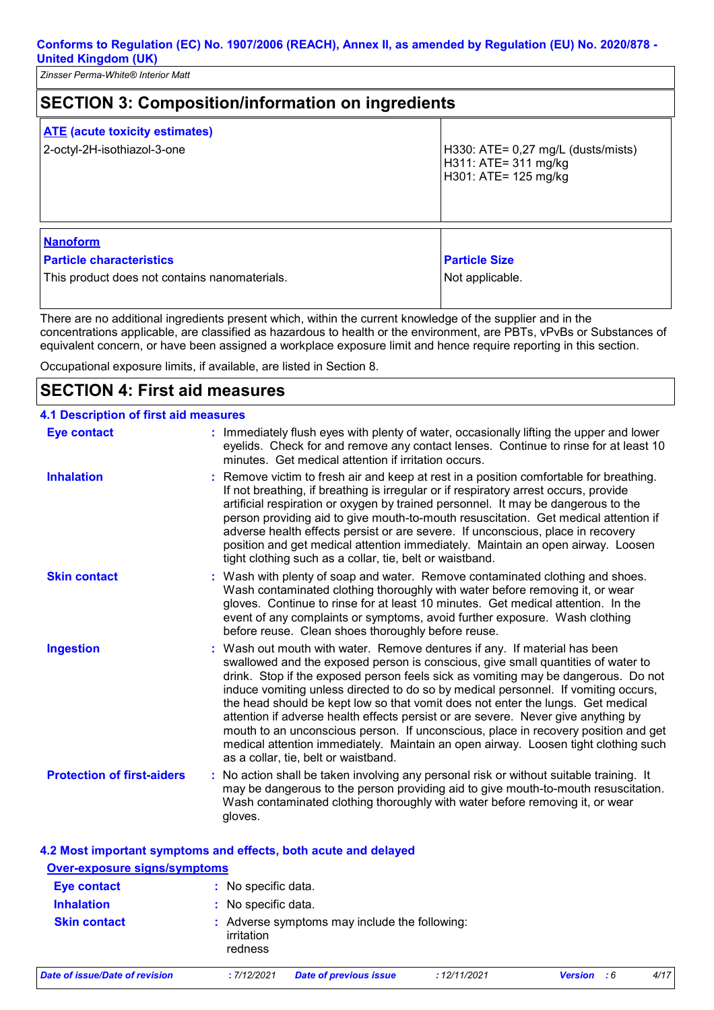*Zinsser Perma-White® Interior Matt*

| <b>SECTION 3: Composition/information on ingredients</b>                                            |                                                                                      |  |
|-----------------------------------------------------------------------------------------------------|--------------------------------------------------------------------------------------|--|
| <b>ATE</b> (acute toxicity estimates)<br>2-octyl-2H-isothiazol-3-one                                | H330: ATE= $0,27$ mg/L (dusts/mists)<br>H311: ATE= 311 mg/kg<br>H301: ATE= 125 mg/kg |  |
| <b>Nanoform</b><br><b>Particle characteristics</b><br>This product does not contains nanomaterials. | <b>Particle Size</b><br>Not applicable.                                              |  |

There are no additional ingredients present which, within the current knowledge of the supplier and in the concentrations applicable, are classified as hazardous to health or the environment, are PBTs, vPvBs or Substances of equivalent concern, or have been assigned a workplace exposure limit and hence require reporting in this section.

Occupational exposure limits, if available, are listed in Section 8.

# **SECTION 4: First aid measures**

| <b>4.1 Description of first aid measures</b> |                                                                                                                                                                                                                                                                                                                                                                                                                                                                                                                                                                                                                                                                                                                                      |
|----------------------------------------------|--------------------------------------------------------------------------------------------------------------------------------------------------------------------------------------------------------------------------------------------------------------------------------------------------------------------------------------------------------------------------------------------------------------------------------------------------------------------------------------------------------------------------------------------------------------------------------------------------------------------------------------------------------------------------------------------------------------------------------------|
| <b>Eye contact</b>                           | : Immediately flush eyes with plenty of water, occasionally lifting the upper and lower<br>eyelids. Check for and remove any contact lenses. Continue to rinse for at least 10<br>minutes. Get medical attention if irritation occurs.                                                                                                                                                                                                                                                                                                                                                                                                                                                                                               |
| <b>Inhalation</b>                            | : Remove victim to fresh air and keep at rest in a position comfortable for breathing.<br>If not breathing, if breathing is irregular or if respiratory arrest occurs, provide<br>artificial respiration or oxygen by trained personnel. It may be dangerous to the<br>person providing aid to give mouth-to-mouth resuscitation. Get medical attention if<br>adverse health effects persist or are severe. If unconscious, place in recovery<br>position and get medical attention immediately. Maintain an open airway. Loosen<br>tight clothing such as a collar, tie, belt or waistband.                                                                                                                                         |
| <b>Skin contact</b>                          | : Wash with plenty of soap and water. Remove contaminated clothing and shoes.<br>Wash contaminated clothing thoroughly with water before removing it, or wear<br>gloves. Continue to rinse for at least 10 minutes. Get medical attention. In the<br>event of any complaints or symptoms, avoid further exposure. Wash clothing<br>before reuse. Clean shoes thoroughly before reuse.                                                                                                                                                                                                                                                                                                                                                |
| <b>Ingestion</b>                             | : Wash out mouth with water. Remove dentures if any. If material has been<br>swallowed and the exposed person is conscious, give small quantities of water to<br>drink. Stop if the exposed person feels sick as vomiting may be dangerous. Do not<br>induce vomiting unless directed to do so by medical personnel. If vomiting occurs,<br>the head should be kept low so that vomit does not enter the lungs. Get medical<br>attention if adverse health effects persist or are severe. Never give anything by<br>mouth to an unconscious person. If unconscious, place in recovery position and get<br>medical attention immediately. Maintain an open airway. Loosen tight clothing such<br>as a collar, tie, belt or waistband. |
| <b>Protection of first-aiders</b>            | : No action shall be taken involving any personal risk or without suitable training. It<br>may be dangerous to the person providing aid to give mouth-to-mouth resuscitation.<br>Wash contaminated clothing thoroughly with water before removing it, or wear<br>gloves.                                                                                                                                                                                                                                                                                                                                                                                                                                                             |

| 4.2 Most important symptoms and effects, both acute and delayed<br><b>Over-exposure signs/symptoms</b> |                       |                                               |             |                    |      |  |  |
|--------------------------------------------------------------------------------------------------------|-----------------------|-----------------------------------------------|-------------|--------------------|------|--|--|
| <b>Eye contact</b>                                                                                     |                       | : No specific data.                           |             |                    |      |  |  |
| <b>Inhalation</b>                                                                                      |                       | : No specific data.                           |             |                    |      |  |  |
| <b>Skin contact</b>                                                                                    | irritation<br>redness | : Adverse symptoms may include the following: |             |                    |      |  |  |
| Date of issue/Date of revision                                                                         | : 7/12/2021           | <b>Date of previous issue</b>                 | :12/11/2021 | <b>Version</b> : 6 | 4/17 |  |  |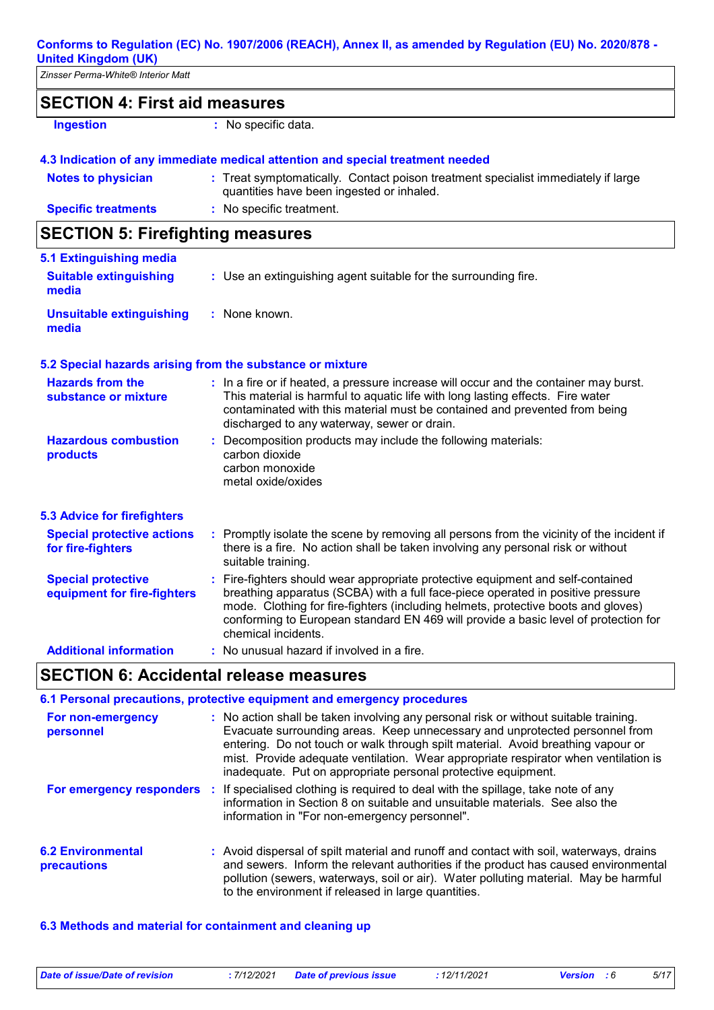| <b>United Kingdom (UK)</b>                               |                                                                                                                                                                                                                                                                                                                                                                       |
|----------------------------------------------------------|-----------------------------------------------------------------------------------------------------------------------------------------------------------------------------------------------------------------------------------------------------------------------------------------------------------------------------------------------------------------------|
| Zinsser Perma-White® Interior Matt                       |                                                                                                                                                                                                                                                                                                                                                                       |
| <b>SECTION 4: First aid measures</b>                     |                                                                                                                                                                                                                                                                                                                                                                       |
| <b>Ingestion</b>                                         | : No specific data.                                                                                                                                                                                                                                                                                                                                                   |
|                                                          | 4.3 Indication of any immediate medical attention and special treatment needed                                                                                                                                                                                                                                                                                        |
| <b>Notes to physician</b>                                | : Treat symptomatically. Contact poison treatment specialist immediately if large<br>quantities have been ingested or inhaled.                                                                                                                                                                                                                                        |
| <b>Specific treatments</b>                               | : No specific treatment.                                                                                                                                                                                                                                                                                                                                              |
| <b>SECTION 5: Firefighting measures</b>                  |                                                                                                                                                                                                                                                                                                                                                                       |
| 5.1 Extinguishing media                                  |                                                                                                                                                                                                                                                                                                                                                                       |
| <b>Suitable extinguishing</b><br>media                   | : Use an extinguishing agent suitable for the surrounding fire.                                                                                                                                                                                                                                                                                                       |
| <b>Unsuitable extinguishing</b><br>media                 | : None known.                                                                                                                                                                                                                                                                                                                                                         |
|                                                          | 5.2 Special hazards arising from the substance or mixture                                                                                                                                                                                                                                                                                                             |
| <b>Hazards from the</b><br>substance or mixture          | : In a fire or if heated, a pressure increase will occur and the container may burst.<br>This material is harmful to aquatic life with long lasting effects. Fire water<br>contaminated with this material must be contained and prevented from being<br>discharged to any waterway, sewer or drain.                                                                  |
| <b>Hazardous combustion</b><br>products                  | : Decomposition products may include the following materials:<br>carbon dioxide<br>carbon monoxide<br>metal oxide/oxides                                                                                                                                                                                                                                              |
| <b>5.3 Advice for firefighters</b>                       |                                                                                                                                                                                                                                                                                                                                                                       |
| <b>Special protective actions</b><br>for fire-fighters   | : Promptly isolate the scene by removing all persons from the vicinity of the incident if<br>there is a fire. No action shall be taken involving any personal risk or without<br>suitable training.                                                                                                                                                                   |
| <b>Special protective</b><br>equipment for fire-fighters | : Fire-fighters should wear appropriate protective equipment and self-contained<br>breathing apparatus (SCBA) with a full face-piece operated in positive pressure<br>mode. Clothing for fire-fighters (including helmets, protective boots and gloves)<br>conforming to European standard EN 469 will provide a basic level of protection for<br>chemical incidents. |
| <b>Additional information</b>                            | : No unusual hazard if involved in a fire.                                                                                                                                                                                                                                                                                                                            |

# **SECTION 6: Accidental release measures**

|                                         | 6.1 Personal precautions, protective equipment and emergency procedures                                                                                                                                                                                                                                                                                                                                         |
|-----------------------------------------|-----------------------------------------------------------------------------------------------------------------------------------------------------------------------------------------------------------------------------------------------------------------------------------------------------------------------------------------------------------------------------------------------------------------|
| For non-emergency<br>personnel          | : No action shall be taken involving any personal risk or without suitable training.<br>Evacuate surrounding areas. Keep unnecessary and unprotected personnel from<br>entering. Do not touch or walk through spilt material. Avoid breathing vapour or<br>mist. Provide adequate ventilation. Wear appropriate respirator when ventilation is<br>inadequate. Put on appropriate personal protective equipment. |
|                                         | <b>For emergency responders</b> : If specialised clothing is required to deal with the spillage, take note of any<br>information in Section 8 on suitable and unsuitable materials. See also the<br>information in "For non-emergency personnel".                                                                                                                                                               |
| <b>6.2 Environmental</b><br>precautions | : Avoid dispersal of spilt material and runoff and contact with soil, waterways, drains<br>and sewers. Inform the relevant authorities if the product has caused environmental<br>pollution (sewers, waterways, soil or air). Water polluting material. May be harmful<br>to the environment if released in large quantities.                                                                                   |

### **6.3 Methods and material for containment and cleaning up**

*Date of issue/Date of revision* **:** *7/12/2021 Date of previous issue : 12/11/2021 Version : 6 5/17*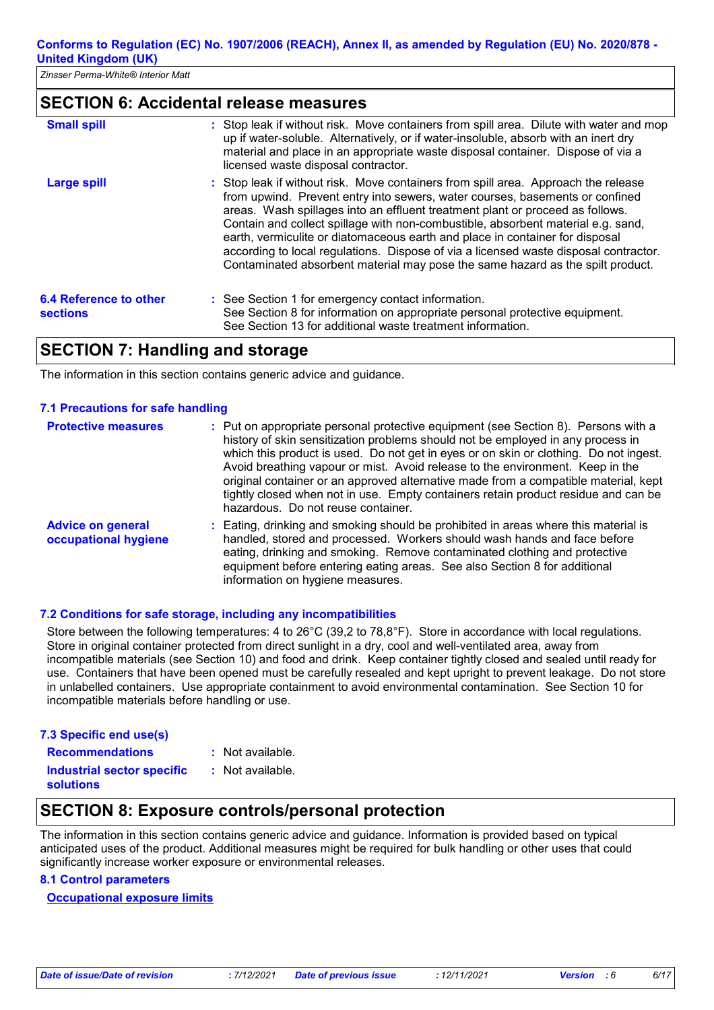### **SECTION 6: Accidental release measures**

| <b>Small spill</b>                        | : Stop leak if without risk. Move containers from spill area. Dilute with water and mop<br>up if water-soluble. Alternatively, or if water-insoluble, absorb with an inert dry<br>material and place in an appropriate waste disposal container. Dispose of via a<br>licensed waste disposal contractor.                                                                                                                                                                                                                                                                                          |
|-------------------------------------------|---------------------------------------------------------------------------------------------------------------------------------------------------------------------------------------------------------------------------------------------------------------------------------------------------------------------------------------------------------------------------------------------------------------------------------------------------------------------------------------------------------------------------------------------------------------------------------------------------|
| <b>Large spill</b>                        | : Stop leak if without risk. Move containers from spill area. Approach the release<br>from upwind. Prevent entry into sewers, water courses, basements or confined<br>areas. Wash spillages into an effluent treatment plant or proceed as follows.<br>Contain and collect spillage with non-combustible, absorbent material e.g. sand,<br>earth, vermiculite or diatomaceous earth and place in container for disposal<br>according to local regulations. Dispose of via a licensed waste disposal contractor.<br>Contaminated absorbent material may pose the same hazard as the spilt product. |
| 6.4 Reference to other<br><b>sections</b> | : See Section 1 for emergency contact information.<br>See Section 8 for information on appropriate personal protective equipment.<br>See Section 13 for additional waste treatment information.                                                                                                                                                                                                                                                                                                                                                                                                   |

### **SECTION 7: Handling and storage**

The information in this section contains generic advice and guidance.

#### **7.1 Precautions for safe handling**

| <b>Protective measures</b>                       | : Put on appropriate personal protective equipment (see Section 8). Persons with a<br>history of skin sensitization problems should not be employed in any process in<br>which this product is used. Do not get in eyes or on skin or clothing. Do not ingest.<br>Avoid breathing vapour or mist. Avoid release to the environment. Keep in the<br>original container or an approved alternative made from a compatible material, kept<br>tightly closed when not in use. Empty containers retain product residue and can be<br>hazardous. Do not reuse container. |
|--------------------------------------------------|--------------------------------------------------------------------------------------------------------------------------------------------------------------------------------------------------------------------------------------------------------------------------------------------------------------------------------------------------------------------------------------------------------------------------------------------------------------------------------------------------------------------------------------------------------------------|
| <b>Advice on general</b><br>occupational hygiene | : Eating, drinking and smoking should be prohibited in areas where this material is<br>handled, stored and processed. Workers should wash hands and face before<br>eating, drinking and smoking. Remove contaminated clothing and protective<br>equipment before entering eating areas. See also Section 8 for additional<br>information on hygiene measures.                                                                                                                                                                                                      |

#### **7.2 Conditions for safe storage, including any incompatibilities**

Store between the following temperatures: 4 to 26°C (39,2 to 78,8°F). Store in accordance with local regulations. Store in original container protected from direct sunlight in a dry, cool and well-ventilated area, away from incompatible materials (see Section 10) and food and drink. Keep container tightly closed and sealed until ready for use. Containers that have been opened must be carefully resealed and kept upright to prevent leakage. Do not store in unlabelled containers. Use appropriate containment to avoid environmental contamination. See Section 10 for incompatible materials before handling or use.

#### **7.3 Specific end use(s)**

**Recommendations :**

: Not available. : Not available.

**Industrial sector specific : solutions**

# **SECTION 8: Exposure controls/personal protection**

The information in this section contains generic advice and guidance. Information is provided based on typical anticipated uses of the product. Additional measures might be required for bulk handling or other uses that could significantly increase worker exposure or environmental releases.

#### **8.1 Control parameters**

#### **Occupational exposure limits**

*Date of issue/Date of revision* **:** *7/12/2021 Date of previous issue : 12/11/2021 Version : 6 6/17*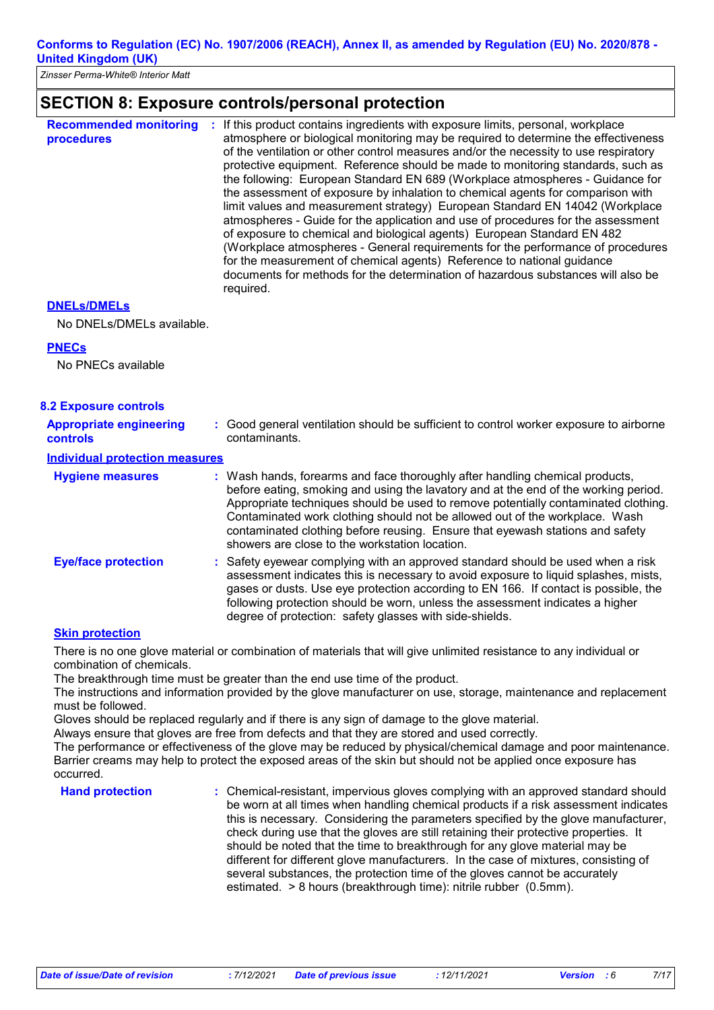### **SECTION 8: Exposure controls/personal protection**

| <b>Recommended monitoring</b><br>procedures | If this product contains ingredients with exposure limits, personal, workplace<br>atmosphere or biological monitoring may be required to determine the effectiveness<br>of the ventilation or other control measures and/or the necessity to use respiratory<br>protective equipment. Reference should be made to monitoring standards, such as<br>the following: European Standard EN 689 (Workplace atmospheres - Guidance for<br>the assessment of exposure by inhalation to chemical agents for comparison with<br>limit values and measurement strategy) European Standard EN 14042 (Workplace<br>atmospheres - Guide for the application and use of procedures for the assessment<br>of exposure to chemical and biological agents) European Standard EN 482<br>(Workplace atmospheres - General requirements for the performance of procedures<br>for the measurement of chemical agents) Reference to national guidance<br>documents for methods for the determination of hazardous substances will also be<br>required. |
|---------------------------------------------|----------------------------------------------------------------------------------------------------------------------------------------------------------------------------------------------------------------------------------------------------------------------------------------------------------------------------------------------------------------------------------------------------------------------------------------------------------------------------------------------------------------------------------------------------------------------------------------------------------------------------------------------------------------------------------------------------------------------------------------------------------------------------------------------------------------------------------------------------------------------------------------------------------------------------------------------------------------------------------------------------------------------------------|
|---------------------------------------------|----------------------------------------------------------------------------------------------------------------------------------------------------------------------------------------------------------------------------------------------------------------------------------------------------------------------------------------------------------------------------------------------------------------------------------------------------------------------------------------------------------------------------------------------------------------------------------------------------------------------------------------------------------------------------------------------------------------------------------------------------------------------------------------------------------------------------------------------------------------------------------------------------------------------------------------------------------------------------------------------------------------------------------|

#### **DNELs/DMELs**

No DNELs/DMELs available.

#### **PNECs**

No PNECs available

| <b>8.2 Exposure controls</b>                      |                                                                                                                                                                                                                                                                                                                                                                                                                                                                             |
|---------------------------------------------------|-----------------------------------------------------------------------------------------------------------------------------------------------------------------------------------------------------------------------------------------------------------------------------------------------------------------------------------------------------------------------------------------------------------------------------------------------------------------------------|
| <b>Appropriate engineering</b><br><b>controls</b> | : Good general ventilation should be sufficient to control worker exposure to airborne<br>contaminants.                                                                                                                                                                                                                                                                                                                                                                     |
| <b>Individual protection measures</b>             |                                                                                                                                                                                                                                                                                                                                                                                                                                                                             |
| <b>Hygiene measures</b>                           | : Wash hands, forearms and face thoroughly after handling chemical products,<br>before eating, smoking and using the lavatory and at the end of the working period.<br>Appropriate techniques should be used to remove potentially contaminated clothing.<br>Contaminated work clothing should not be allowed out of the workplace. Wash<br>contaminated clothing before reusing. Ensure that eyewash stations and safety<br>showers are close to the workstation location. |
| <b>Eye/face protection</b>                        | : Safety eyewear complying with an approved standard should be used when a risk<br>assessment indicates this is necessary to avoid exposure to liquid splashes, mists,<br>gases or dusts. Use eye protection according to EN 166. If contact is possible, the<br>following protection should be worn, unless the assessment indicates a higher<br>degree of protection: safety glasses with side-shields.                                                                   |

#### **Skin protection**

There is no one glove material or combination of materials that will give unlimited resistance to any individual or combination of chemicals.

The breakthrough time must be greater than the end use time of the product.

The instructions and information provided by the glove manufacturer on use, storage, maintenance and replacement must be followed.

Gloves should be replaced regularly and if there is any sign of damage to the glove material.

Always ensure that gloves are free from defects and that they are stored and used correctly.

The performance or effectiveness of the glove may be reduced by physical/chemical damage and poor maintenance. Barrier creams may help to protect the exposed areas of the skin but should not be applied once exposure has occurred.

**Hand protection** : Chemical-resistant, impervious gloves complying with an approved standard should **Finan** be worn at all times when handling chemical products if a risk assessment indicates this is necessary. Considering the parameters specified by the glove manufacturer, check during use that the gloves are still retaining their protective properties. It should be noted that the time to breakthrough for any glove material may be different for different glove manufacturers. In the case of mixtures, consisting of several substances, the protection time of the gloves cannot be accurately estimated. > 8 hours (breakthrough time): nitrile rubber (0.5mm).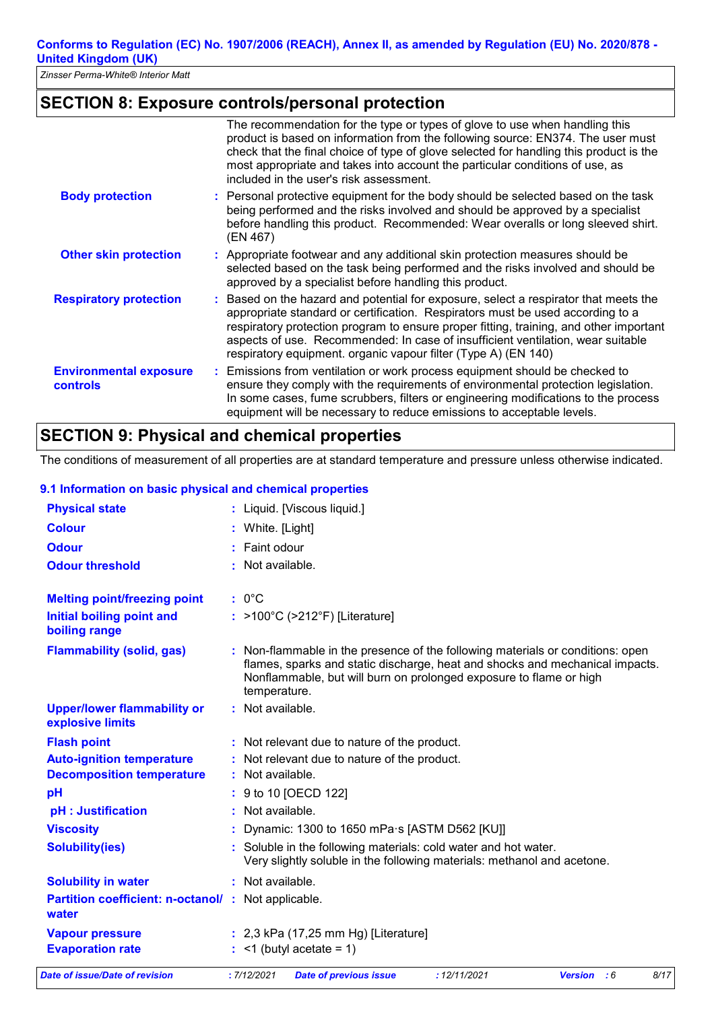# **SECTION 8: Exposure controls/personal protection**

|                                                  | The recommendation for the type or types of glove to use when handling this<br>product is based on information from the following source: EN374. The user must<br>check that the final choice of type of glove selected for handling this product is the<br>most appropriate and takes into account the particular conditions of use, as<br>included in the user's risk assessment.                                   |
|--------------------------------------------------|-----------------------------------------------------------------------------------------------------------------------------------------------------------------------------------------------------------------------------------------------------------------------------------------------------------------------------------------------------------------------------------------------------------------------|
| <b>Body protection</b>                           | : Personal protective equipment for the body should be selected based on the task<br>being performed and the risks involved and should be approved by a specialist<br>before handling this product. Recommended: Wear overalls or long sleeved shirt.<br>(EN 467)                                                                                                                                                     |
| <b>Other skin protection</b>                     | : Appropriate footwear and any additional skin protection measures should be<br>selected based on the task being performed and the risks involved and should be<br>approved by a specialist before handling this product.                                                                                                                                                                                             |
| <b>Respiratory protection</b>                    | : Based on the hazard and potential for exposure, select a respirator that meets the<br>appropriate standard or certification. Respirators must be used according to a<br>respiratory protection program to ensure proper fitting, training, and other important<br>aspects of use. Recommended: In case of insufficient ventilation, wear suitable<br>respiratory equipment. organic vapour filter (Type A) (EN 140) |
| <b>Environmental exposure</b><br><b>controls</b> | : Emissions from ventilation or work process equipment should be checked to<br>ensure they comply with the requirements of environmental protection legislation.<br>In some cases, fume scrubbers, filters or engineering modifications to the process<br>equipment will be necessary to reduce emissions to acceptable levels.                                                                                       |

# **SECTION 9: Physical and chemical properties**

The conditions of measurement of all properties are at standard temperature and pressure unless otherwise indicated.

#### **9.1 Information on basic physical and chemical properties**

| <b>Physical state</b>                                       |                  | : Liquid. [Viscous liquid.]                                                                                                                                                                                                        |             |                    |      |
|-------------------------------------------------------------|------------------|------------------------------------------------------------------------------------------------------------------------------------------------------------------------------------------------------------------------------------|-------------|--------------------|------|
| <b>Colour</b>                                               | White. [Light]   |                                                                                                                                                                                                                                    |             |                    |      |
| <b>Odour</b>                                                | Faint odour      |                                                                                                                                                                                                                                    |             |                    |      |
| <b>Odour threshold</b>                                      | Not available.   |                                                                                                                                                                                                                                    |             |                    |      |
| <b>Melting point/freezing point</b>                         | $: 0^{\circ}C$   |                                                                                                                                                                                                                                    |             |                    |      |
| <b>Initial boiling point and</b><br>boiling range           |                  | : >100°C (>212°F) [Literature]                                                                                                                                                                                                     |             |                    |      |
| <b>Flammability (solid, gas)</b>                            | temperature.     | Non-flammable in the presence of the following materials or conditions: open<br>flames, sparks and static discharge, heat and shocks and mechanical impacts.<br>Nonflammable, but will burn on prolonged exposure to flame or high |             |                    |      |
| <b>Upper/lower flammability or</b><br>explosive limits      | : Not available. |                                                                                                                                                                                                                                    |             |                    |      |
| <b>Flash point</b>                                          |                  | : Not relevant due to nature of the product.                                                                                                                                                                                       |             |                    |      |
| <b>Auto-ignition temperature</b>                            |                  | Not relevant due to nature of the product.                                                                                                                                                                                         |             |                    |      |
| <b>Decomposition temperature</b>                            | Not available.   |                                                                                                                                                                                                                                    |             |                    |      |
| pH                                                          |                  | 9 to 10 [OECD 122]                                                                                                                                                                                                                 |             |                    |      |
| pH : Justification                                          | Not available.   |                                                                                                                                                                                                                                    |             |                    |      |
| <b>Viscosity</b>                                            |                  | Dynamic: 1300 to 1650 mPa s [ASTM D562 [KU]]                                                                                                                                                                                       |             |                    |      |
| <b>Solubility(ies)</b>                                      |                  | Soluble in the following materials: cold water and hot water.<br>Very slightly soluble in the following materials: methanol and acetone.                                                                                           |             |                    |      |
| <b>Solubility in water</b>                                  | : Not available. |                                                                                                                                                                                                                                    |             |                    |      |
| Partition coefficient: n-octanol/: Not applicable.<br>water |                  |                                                                                                                                                                                                                                    |             |                    |      |
| <b>Vapour pressure</b>                                      |                  | $: 2,3$ kPa (17,25 mm Hg) [Literature]                                                                                                                                                                                             |             |                    |      |
| <b>Evaporation rate</b>                                     |                  | $:$ <1 (butyl acetate = 1)                                                                                                                                                                                                         |             |                    |      |
| Date of issue/Date of revision                              | : 7/12/2021      | <b>Date of previous issue</b>                                                                                                                                                                                                      | :12/11/2021 | <b>Version</b> : 6 | 8/17 |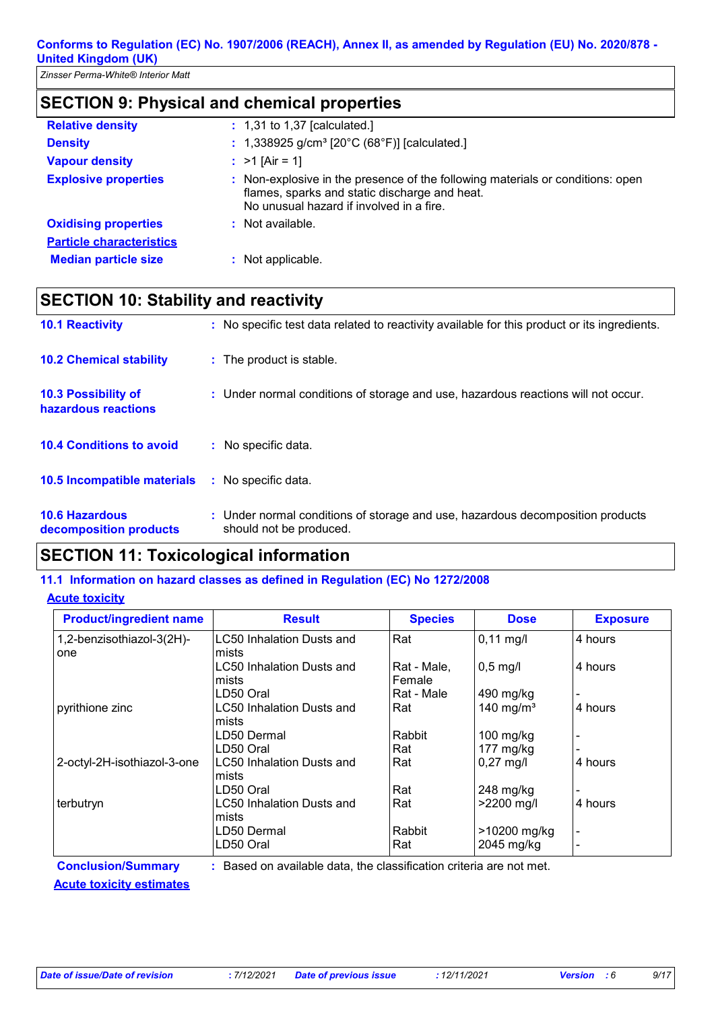# **SECTION 9: Physical and chemical properties**

| <b>Relative density</b>         | : 1,31 to 1,37 [calculated.]                                                                                                                                                |
|---------------------------------|-----------------------------------------------------------------------------------------------------------------------------------------------------------------------------|
| <b>Density</b>                  | : 1,338925 g/cm <sup>3</sup> [20°C (68°F)] [calculated.]                                                                                                                    |
| <b>Vapour density</b>           | : $>1$ [Air = 1]                                                                                                                                                            |
| <b>Explosive properties</b>     | : Non-explosive in the presence of the following materials or conditions: open<br>flames, sparks and static discharge and heat.<br>No unusual hazard if involved in a fire. |
| <b>Oxidising properties</b>     | $:$ Not available.                                                                                                                                                          |
| <b>Particle characteristics</b> |                                                                                                                                                                             |
| <b>Median particle size</b>     | : Not applicable.                                                                                                                                                           |

# **SECTION 10: Stability and reactivity**

| <b>10.1 Reactivity</b>                          | : No specific test data related to reactivity available for this product or its ingredients.              |
|-------------------------------------------------|-----------------------------------------------------------------------------------------------------------|
| <b>10.2 Chemical stability</b>                  | : The product is stable.                                                                                  |
| 10.3 Possibility of<br>hazardous reactions      | : Under normal conditions of storage and use, hazardous reactions will not occur.                         |
| <b>10.4 Conditions to avoid</b>                 | : No specific data.                                                                                       |
| <b>10.5 Incompatible materials</b>              | : No specific data.                                                                                       |
| <b>10.6 Hazardous</b><br>decomposition products | : Under normal conditions of storage and use, hazardous decomposition products<br>should not be produced. |

# **SECTION 11: Toxicological information**

#### **Acute toxicity 11.1 Information on hazard classes as defined in Regulation (EC) No 1272/2008**

| <b>Product/ingredient name</b> | <b>Result</b>                                                       | <b>Species</b> | <b>Dose</b>           | <b>Exposure</b> |
|--------------------------------|---------------------------------------------------------------------|----------------|-----------------------|-----------------|
| 1,2-benzisothiazol-3(2H)-      | LC50 Inhalation Dusts and                                           | Rat            | $0,11 \text{ mg/l}$   | 4 hours         |
| one                            | mists                                                               |                |                       |                 |
|                                | LC50 Inhalation Dusts and                                           | Rat - Male,    | $0.5$ mg/l            | 4 hours         |
|                                | mists                                                               | Female         |                       |                 |
|                                | LD50 Oral                                                           | Rat - Male     | 490 mg/kg             |                 |
| pyrithione zinc                | LC50 Inhalation Dusts and                                           | Rat            | 140 mg/m <sup>3</sup> | 4 hours         |
|                                | mists                                                               |                |                       |                 |
|                                | LD50 Dermal                                                         | Rabbit         | $100$ mg/kg           |                 |
|                                | LD50 Oral                                                           | Rat            | 177 $mg/kg$           |                 |
| 2-octyl-2H-isothiazol-3-one    | LC50 Inhalation Dusts and                                           | Rat            | $0,27$ mg/l           | 4 hours         |
|                                | mists                                                               |                |                       |                 |
|                                | LD50 Oral                                                           | Rat            | $248$ mg/kg           |                 |
| terbutryn                      | LC50 Inhalation Dusts and                                           | Rat            | $>2200$ mg/l          | 4 hours         |
|                                | mists                                                               |                |                       |                 |
|                                | LD50 Dermal                                                         | Rabbit         | >10200 mg/kg          |                 |
|                                | LD50 Oral                                                           | Rat            | 2045 mg/kg            |                 |
| <b>Conclusion/Summary</b>      | : Based on available data, the classification criteria are not met. |                |                       |                 |

**Acute toxicity estimates**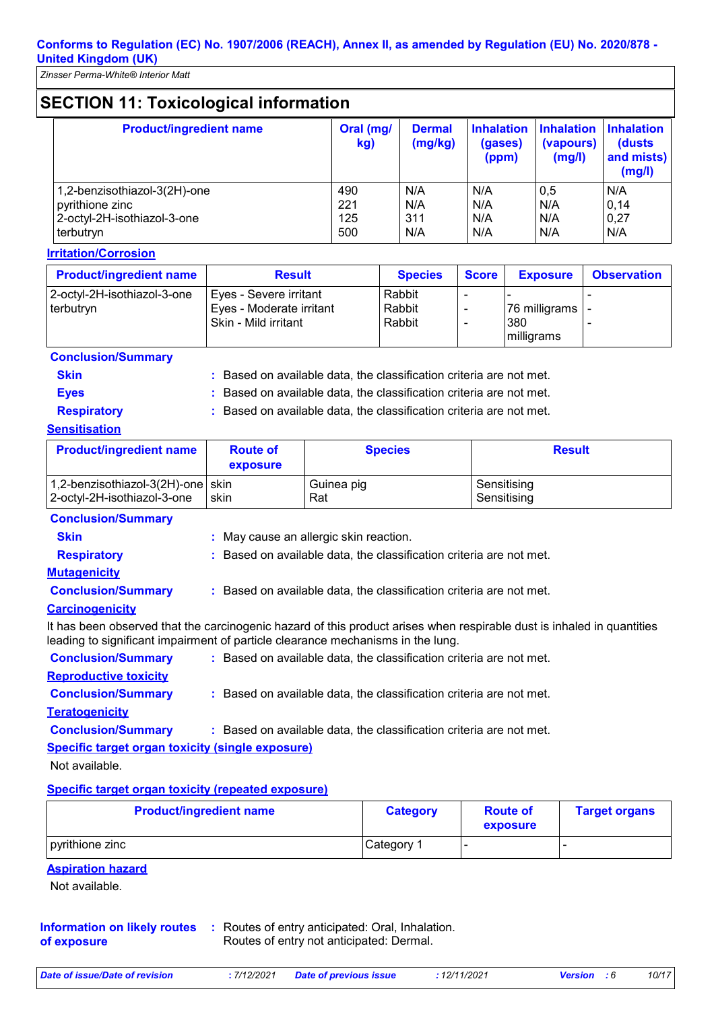# **SECTION 11: Toxicological information**

| <b>Product/ingredient name</b> | Oral (mg/<br>kg) | <b>Dermal</b><br>(mg/kg) | <b>Inhalation</b><br>(gases)<br>(ppm) | <b>Inhalation</b><br>(vapours)<br>(mg/l) | <b>Inhalation</b><br>(dusts)<br>and mists)<br>(mg/l) |
|--------------------------------|------------------|--------------------------|---------------------------------------|------------------------------------------|------------------------------------------------------|
| 1,2-benzisothiazol-3(2H)-one   | 490              | N/A                      | N/A                                   | 0,5                                      | N/A                                                  |
| pyrithione zinc                | 221              | N/A                      | N/A                                   | N/A                                      | 0,14                                                 |
| 2-octyl-2H-isothiazol-3-one    | 125              | 311                      | N/A                                   | N/A                                      | 0,27                                                 |
| terbutryn                      | 500              | N/A                      | N/A                                   | N/A                                      | N/A                                                  |

#### **Irritation/Corrosion**

| <b>Product/ingredient name</b>           | <b>Result</b>                                                              | <b>Species</b>             | <b>Score</b> | <b>Exposure</b>                      | <b>Observation</b> |
|------------------------------------------|----------------------------------------------------------------------------|----------------------------|--------------|--------------------------------------|--------------------|
| 2-octyl-2H-isothiazol-3-one<br>terbutryn | Eyes - Severe irritant<br>Eyes - Moderate irritant<br>Skin - Mild irritant | Rabbit<br>Rabbit<br>Rabbit |              | 76 milligrams -<br>380<br>milligrams |                    |

#### **Conclusion/Summary**

**Skin Example 20 :** Based on available data, the classification criteria are not met.

**Eyes Eyes :** Based on available data, the classification criteria are not met.

**Respiratory :** Based on available data, the classification criteria are not met.

#### **Sensitisation**

| <b>Product/ingredient name</b>      | <b>Route of</b><br>exposure | <b>Species</b> | <b>Result</b> |
|-------------------------------------|-----------------------------|----------------|---------------|
| 1,2-benzisothiazol-3(2H)-one   skin | skin                        | Guinea pig     | Sensitising   |
| 2-octyl-2H-isothiazol-3-one         |                             | Rat            | Sensitising   |

#### **Conclusion/Summary**

| <b>Skin</b>               | : May cause an allergic skin reaction.                                                                                                                                                                    |
|---------------------------|-----------------------------------------------------------------------------------------------------------------------------------------------------------------------------------------------------------|
|                           |                                                                                                                                                                                                           |
| <b>Respiratory</b>        | : Based on available data, the classification criteria are not met.                                                                                                                                       |
| <b>Mutagenicity</b>       |                                                                                                                                                                                                           |
| <b>Conclusion/Summary</b> | : Based on available data, the classification criteria are not met.                                                                                                                                       |
| <b>Carcinogenicity</b>    |                                                                                                                                                                                                           |
|                           | It has been observed that the carcinogenic hazard of this product arises when respirable dust is inhaled in quantities<br>leading to significant impairment of particle clearance mechanisms in the lung. |

| <b>Conclusion/Summary</b>                               | : Based on available data, the classification criteria are not met. |
|---------------------------------------------------------|---------------------------------------------------------------------|
| <b>Reproductive toxicity</b>                            |                                                                     |
| <b>Conclusion/Summary</b>                               | : Based on available data, the classification criteria are not met. |
| <b>Teratogenicity</b>                                   |                                                                     |
| <b>Conclusion/Summary</b>                               | : Based on available data, the classification criteria are not met. |
| <b>Specific target organ toxicity (single exposure)</b> |                                                                     |

Not available.

#### **Specific target organ toxicity (repeated exposure)**

| <b>Product/ingredient name</b> | <b>Category</b> | <b>Route of</b><br>exposure | <b>Target organs</b> |
|--------------------------------|-----------------|-----------------------------|----------------------|
| pyrithione zinc                | Category 1      |                             |                      |

#### **Aspiration hazard**

Not available.

| <b>Information on likely routes</b> | : Routes of entry anticipated: Oral, Inhalation. |
|-------------------------------------|--------------------------------------------------|
| of exposure                         | Routes of entry not anticipated: Dermal.         |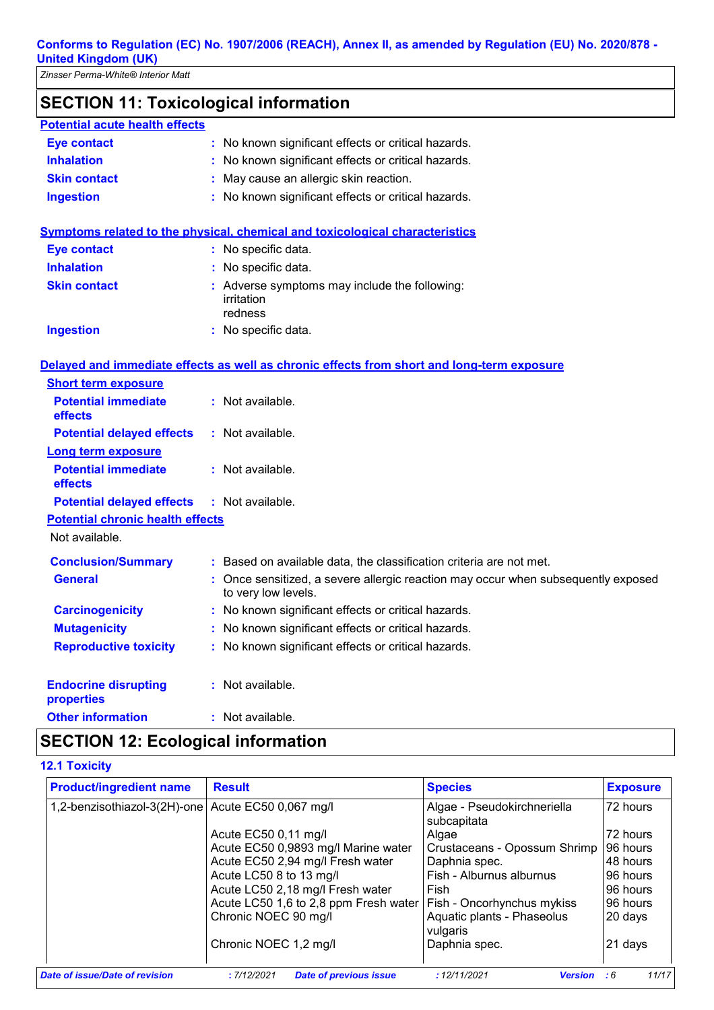# **SECTION 11: Toxicological information**

|  | <b>Potential acute health effects</b> |
|--|---------------------------------------|
|--|---------------------------------------|

| <b>Eye contact</b>  | : No known significant effects or critical hazards. |
|---------------------|-----------------------------------------------------|
| <b>Inhalation</b>   | : No known significant effects or critical hazards. |
| <b>Skin contact</b> | : May cause an allergic skin reaction.              |
| <b>Ingestion</b>    | : No known significant effects or critical hazards. |

#### **Symptoms related to the physical, chemical and toxicological characteristics**

| <b>Eye contact</b>  | : No specific data.                                                    |
|---------------------|------------------------------------------------------------------------|
| <b>Inhalation</b>   | : No specific data.                                                    |
| <b>Skin contact</b> | : Adverse symptoms may include the following:<br>irritation<br>redness |
| Ingestion           | : No specific data.                                                    |

#### **Delayed and immediate effects as well as chronic effects from short and long-term exposure**

| <b>Short term exposure</b>                        |                                                                                                          |
|---------------------------------------------------|----------------------------------------------------------------------------------------------------------|
| <b>Potential immediate</b><br>effects             | $:$ Not available.                                                                                       |
| <b>Potential delayed effects</b>                  | : Not available.                                                                                         |
| <b>Long term exposure</b>                         |                                                                                                          |
| <b>Potential immediate</b><br><b>effects</b>      | $:$ Not available.                                                                                       |
| <b>Potential delayed effects : Not available.</b> |                                                                                                          |
| <b>Potential chronic health effects</b>           |                                                                                                          |
| Not available.                                    |                                                                                                          |
| <b>Conclusion/Summary</b>                         | : Based on available data, the classification criteria are not met.                                      |
| <b>General</b>                                    | : Once sensitized, a severe allergic reaction may occur when subsequently exposed<br>to very low levels. |
| <b>Carcinogenicity</b>                            | : No known significant effects or critical hazards.                                                      |
| <b>Mutagenicity</b>                               | : No known significant effects or critical hazards.                                                      |
| <b>Reproductive toxicity</b>                      | : No known significant effects or critical hazards.                                                      |
| <b>Endocrine disrupting</b><br><b>properties</b>  | : Not available.                                                                                         |
| <b>Other information</b>                          | : Not available.                                                                                         |

# **SECTION 12: Ecological information**

#### **12.1 Toxicity**

| <b>Product/ingredient name</b>                     | <b>Result</b>                               | <b>Species</b>                             | <b>Exposure</b> |
|----------------------------------------------------|---------------------------------------------|--------------------------------------------|-----------------|
| 1,2-benzisothiazol-3(2H)-one Acute EC50 0,067 mg/l |                                             | Algae - Pseudokirchneriella<br>subcapitata | 72 hours        |
|                                                    | Acute EC50 0,11 mg/l                        | Algae                                      | 72 hours        |
|                                                    | Acute EC50 0,9893 mg/l Marine water         | Crustaceans - Opossum Shrimp               | 96 hours        |
|                                                    | Acute EC50 2,94 mg/l Fresh water            | Daphnia spec.                              | 148 hours       |
|                                                    | Acute LC50 8 to 13 mg/l                     | Fish - Alburnus alburnus                   | 96 hours        |
|                                                    | Acute LC50 2,18 mg/l Fresh water            | Fish                                       | 96 hours        |
|                                                    | Acute LC50 1,6 to 2,8 ppm Fresh water       | <b>Fish - Oncorhynchus mykiss</b>          | 96 hours        |
|                                                    | Chronic NOEC 90 mg/l                        | Aquatic plants - Phaseolus<br>vulgaris     | 20 days         |
|                                                    | Chronic NOEC 1,2 mg/l                       | Daphnia spec.                              | 21 days         |
| <b>Date of issue/Date of revision</b>              | <b>Date of previous issue</b><br>:7/12/2021 | : 12/11/2021<br><b>Version</b>             | 11/17<br>:6     |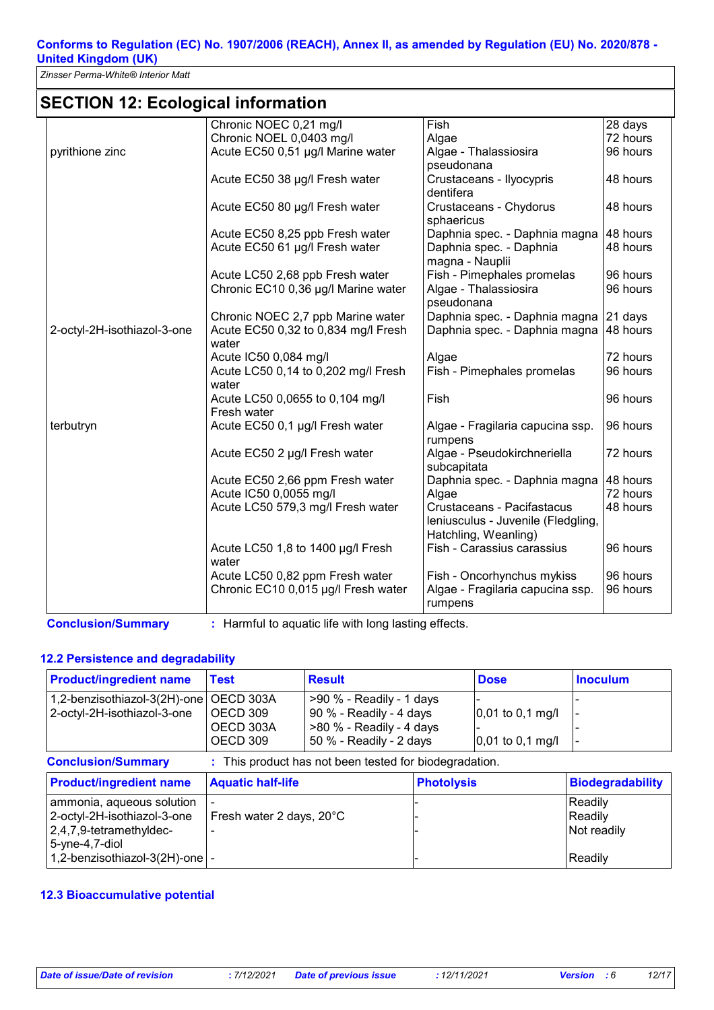*Zinsser Perma-White® Interior Matt*

# **SECTION 12: Ecological information**

|                             | Chronic NOEC 0,21 mg/l                         | Fish                                                                                     | 28 days  |
|-----------------------------|------------------------------------------------|------------------------------------------------------------------------------------------|----------|
|                             | Chronic NOEL 0,0403 mg/l                       | Algae                                                                                    | 72 hours |
| pyrithione zinc             | Acute EC50 0,51 µg/l Marine water              | Algae - Thalassiosira                                                                    | 96 hours |
|                             |                                                | pseudonana                                                                               |          |
|                             | Acute EC50 38 µg/l Fresh water                 | Crustaceans - Ilyocypris                                                                 | 48 hours |
|                             |                                                | dentifera                                                                                |          |
|                             | Acute EC50 80 µg/l Fresh water                 | Crustaceans - Chydorus<br>sphaericus                                                     | 48 hours |
|                             | Acute EC50 8,25 ppb Fresh water                | Daphnia spec. - Daphnia magna                                                            | 48 hours |
|                             | Acute EC50 61 µg/l Fresh water                 | Daphnia spec. - Daphnia<br>magna - Nauplii                                               | 48 hours |
|                             | Acute LC50 2,68 ppb Fresh water                | Fish - Pimephales promelas                                                               | 96 hours |
|                             | Chronic EC10 0,36 µg/l Marine water            | Algae - Thalassiosira<br>pseudonana                                                      | 96 hours |
|                             | Chronic NOEC 2,7 ppb Marine water              | Daphnia spec. - Daphnia magna                                                            | 21 days  |
| 2-octyl-2H-isothiazol-3-one | Acute EC50 0,32 to 0,834 mg/l Fresh<br>water   | Daphnia spec. - Daphnia magna                                                            | 48 hours |
|                             | Acute IC50 0,084 mg/l                          | Algae                                                                                    | 72 hours |
|                             | Acute LC50 0,14 to 0,202 mg/l Fresh<br>water   | Fish - Pimephales promelas                                                               | 96 hours |
|                             | Acute LC50 0,0655 to 0,104 mg/l<br>Fresh water | Fish                                                                                     | 96 hours |
| terbutryn                   | Acute EC50 0,1 µg/l Fresh water                | Algae - Fragilaria capucina ssp.<br>rumpens                                              | 96 hours |
|                             | Acute EC50 2 µg/l Fresh water                  | Algae - Pseudokirchneriella<br>subcapitata                                               | 72 hours |
|                             | Acute EC50 2,66 ppm Fresh water                | Daphnia spec. - Daphnia magna                                                            | 48 hours |
|                             | Acute IC50 0,0055 mg/l                         | Algae                                                                                    | 72 hours |
|                             | Acute LC50 579,3 mg/l Fresh water              | Crustaceans - Pacifastacus<br>Ieniusculus - Juvenile (Fledgling,<br>Hatchling, Weanling) | 48 hours |
|                             | Acute LC50 1,8 to 1400 µg/l Fresh              | Fish - Carassius carassius                                                               | 96 hours |
|                             | water                                          |                                                                                          |          |
|                             | Acute LC50 0,82 ppm Fresh water                | Fish - Oncorhynchus mykiss                                                               | 96 hours |
|                             | Chronic EC10 0,015 µg/l Fresh water            | Algae - Fragilaria capucina ssp.<br>rumpens                                              | 96 hours |

#### **12.2 Persistence and degradability**

| <b>Product/ingredient name</b>                                                                                                                  | <b>Test</b>                                    | <b>Result</b>                                                                                                |                   | <b>Dose</b>                              | <b>Inoculum</b>                              |
|-------------------------------------------------------------------------------------------------------------------------------------------------|------------------------------------------------|--------------------------------------------------------------------------------------------------------------|-------------------|------------------------------------------|----------------------------------------------|
| 1,2-benzisothiazol-3(2H)-one<br>2-octyl-2H-isothiazol-3-one                                                                                     | OECD 303A<br>OECD 309<br>OECD 303A<br>OECD 309 | $>90$ % - Readily - 1 days<br>90 % - Readily - 4 days<br>>80 % - Readily - 4 days<br>50 % - Readily - 2 days |                   | $0,01$ to 0,1 mg/l<br>$0,01$ to 0,1 mg/l |                                              |
| <b>Conclusion/Summary</b>                                                                                                                       |                                                | : This product has not been tested for biodegradation.                                                       |                   |                                          |                                              |
| <b>Product/ingredient name</b>                                                                                                                  | <b>Aquatic half-life</b>                       |                                                                                                              | <b>Photolysis</b> |                                          | <b>Biodegradability</b>                      |
| ammonia, aqueous solution<br>2-octyl-2H-isothiazol-3-one<br>2,4,7,9-tetramethyldec-<br>5-yne-4,7-diol<br>1,2-benzisothiazol-3(2H)-one $\vert$ - | Fresh water 2 days, 20°C                       |                                                                                                              |                   |                                          | Readily<br>Readily<br>Not readily<br>Readily |

#### **12.3 Bioaccumulative potential**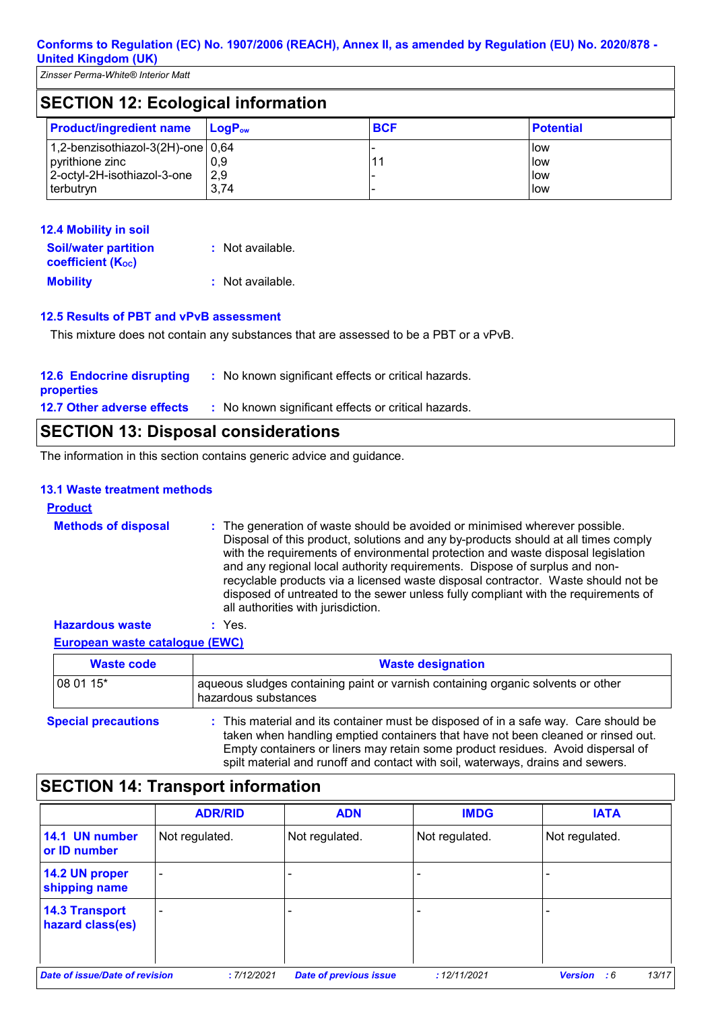|                                           | $\epsilon$ - $\epsilon$ - $\epsilon$ - $\epsilon$ - $\epsilon$ - $\epsilon$ - $\epsilon$ - $\epsilon$ - $\epsilon$ - $\epsilon$ - $\epsilon$ - $\epsilon$ - $\epsilon$ - $\epsilon$ - $\epsilon$ - $\epsilon$ - $\epsilon$ - $\epsilon$ - $\epsilon$ - $\epsilon$ - $\epsilon$ - $\epsilon$ - $\epsilon$ - $\epsilon$ - $\epsilon$ - $\epsilon$ - $\epsilon$ - $\epsilon$ - $\epsilon$ - $\epsilon$ - $\epsilon$ - $\epsilon$ |                    |            |                  |
|-------------------------------------------|-------------------------------------------------------------------------------------------------------------------------------------------------------------------------------------------------------------------------------------------------------------------------------------------------------------------------------------------------------------------------------------------------------------------------------|--------------------|------------|------------------|
| <b>SECTION 12: Ecological information</b> |                                                                                                                                                                                                                                                                                                                                                                                                                               |                    |            |                  |
|                                           | <b>Product/ingredient name</b>                                                                                                                                                                                                                                                                                                                                                                                                | LogP <sub>ow</sub> | <b>BCF</b> | <b>Potential</b> |
|                                           | 1,2-benzisothiazol-3(2H)-one   0,64                                                                                                                                                                                                                                                                                                                                                                                           |                    |            | l low            |
|                                           | pyrithione zinc                                                                                                                                                                                                                                                                                                                                                                                                               | 0,9                | 11         | <b>I</b> low     |
|                                           | 2-octyl-2H-isothiazol-3-one                                                                                                                                                                                                                                                                                                                                                                                                   | 2,9                |            | low              |
|                                           | terbutryn                                                                                                                                                                                                                                                                                                                                                                                                                     | 3,74               |            | low              |

| 12.4 Mobility in soil                                   |                  |
|---------------------------------------------------------|------------------|
| <b>Soil/water partition</b><br><b>coefficient (Koc)</b> | : Not available. |
| <b>Mobility</b>                                         | : Not available. |

#### **12.5 Results of PBT and vPvB assessment**

This mixture does not contain any substances that are assessed to be a PBT or a vPvB.

| <b>12.6 Endocrine disrupting</b><br><b>properties</b> | : No known significant effects or critical hazards. |
|-------------------------------------------------------|-----------------------------------------------------|
| <b>12.7 Other adverse effects</b>                     | : No known significant effects or critical hazards. |

# **SECTION 13: Disposal considerations**

The information in this section contains generic advice and guidance.

#### **13.1 Waste treatment methods**

#### **Product**

| <b>Methods of disposal</b> | : The generation of waste should be avoided or minimised wherever possible.<br>Disposal of this product, solutions and any by-products should at all times comply<br>with the requirements of environmental protection and waste disposal legislation<br>and any regional local authority requirements. Dispose of surplus and non-<br>recyclable products via a licensed waste disposal contractor. Waste should not be<br>disposed of untreated to the sewer unless fully compliant with the requirements of<br>all authorities with jurisdiction. |
|----------------------------|------------------------------------------------------------------------------------------------------------------------------------------------------------------------------------------------------------------------------------------------------------------------------------------------------------------------------------------------------------------------------------------------------------------------------------------------------------------------------------------------------------------------------------------------------|
|                            |                                                                                                                                                                                                                                                                                                                                                                                                                                                                                                                                                      |

#### **European waste catalogue (EWC) Hazardous waste :** Yes.

| European waste catalogue (EWC) |                                                                                                                                                                         |
|--------------------------------|-------------------------------------------------------------------------------------------------------------------------------------------------------------------------|
| <b>Waste code</b>              | <b>Waste designation</b>                                                                                                                                                |
| 08 01 15*                      | aqueous sludges containing paint or varnish containing organic solvents or other<br>hazardous substances                                                                |
| <b>Special precautions</b>     | : This material and its container must be disposed of in a safe way. Care should be<br>taken when handling emptied containers that have not been cleaned or rinsed out. |

Empty containers or liners may retain some product residues. Avoid dispersal of spilt material and runoff and contact with soil, waterways, drains and sewers.

|                                           | <b>ADR/RID</b>           | <b>ADN</b>     | <b>IMDG</b>    | <b>IATA</b>    |
|-------------------------------------------|--------------------------|----------------|----------------|----------------|
| 14.1 UN number<br>or ID number            | Not regulated.           | Not regulated. | Not regulated. | Not regulated. |
| 14.2 UN proper<br>shipping name           | $\overline{\phantom{0}}$ |                |                |                |
| <b>14.3 Transport</b><br>hazard class(es) | -                        |                |                |                |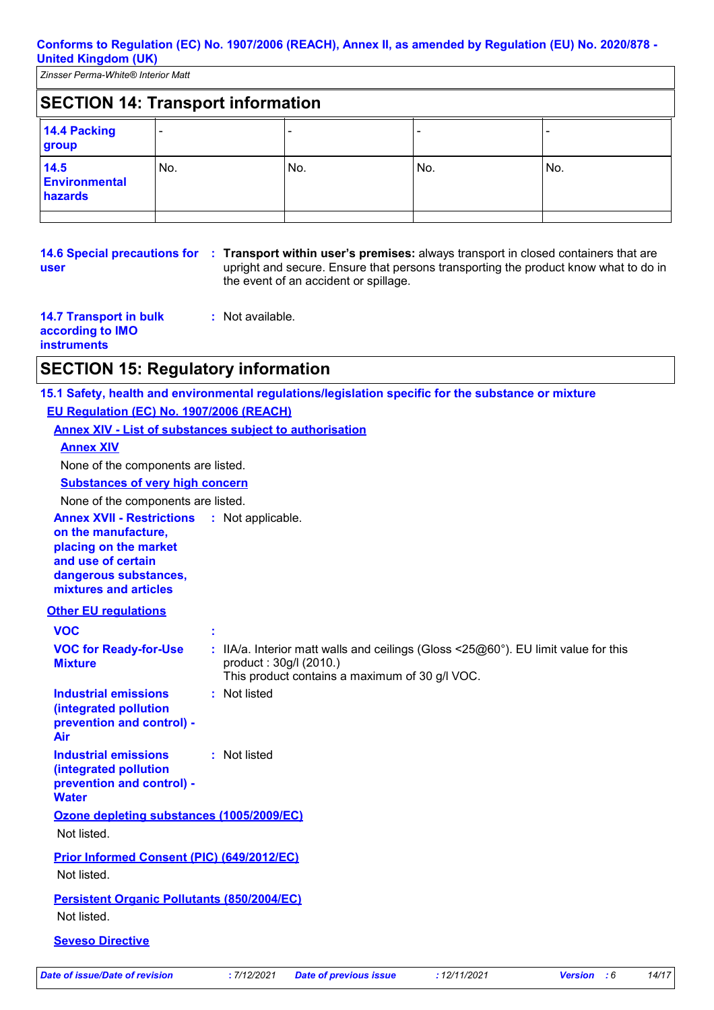*Zinsser Perma-White® Interior Matt*

| <b>SECTION 14: Transport information</b> |     |     |     |     |
|------------------------------------------|-----|-----|-----|-----|
| 14.4 Packing<br>group                    |     |     |     |     |
| 14.5<br>Environmental<br>hazards         | No. | No. | No. | No. |
|                                          |     |     |     |     |

**user**

**14.6 Special precautions for : Transport within user's premises: always transport in closed containers that are** upright and secure. Ensure that persons transporting the product know what to do in the event of an accident or spillage.

| <b>14.7 Transport in bulk</b> | : Not available. |
|-------------------------------|------------------|
| according to IMO              |                  |
| <b>instruments</b>            |                  |

# **SECTION 15: Regulatory information**

**15.1 Safety, health and environmental regulations/legislation specific for the substance or mixture**

#### **EU Regulation (EC) No. 1907/2006 (REACH)**

**Annex XIV - List of substances subject to authorisation**

#### **Annex XIV**

None of the components are listed.

#### **Substances of very high concern**

None of the components are listed.

**Annex XVII - Restrictions :** Not applicable.

**on the manufacture, placing on the market and use of certain dangerous substances, mixtures and articles**

#### **Other EU regulations**

| <b>VOC</b>                                                                                        |                                                                                                                                                                                              |
|---------------------------------------------------------------------------------------------------|----------------------------------------------------------------------------------------------------------------------------------------------------------------------------------------------|
| <b>VOC for Ready-for-Use</b><br><b>Mixture</b>                                                    | : IIA/a. Interior matt walls and ceilings (Gloss $\leq$ 25 $\textcircled{60}^{\circ}$ ). EU limit value for this<br>product: 30g/l (2010.)<br>This product contains a maximum of 30 g/l VOC. |
| Industrial emissions<br>(integrated pollution<br>prevention and control) -<br>Air                 | : Not listed                                                                                                                                                                                 |
| <b>Industrial emissions</b><br>(integrated pollution<br>prevention and control) -<br><b>Water</b> | : Not listed                                                                                                                                                                                 |
| Ozone depleting substances (1005/2009/EC)                                                         |                                                                                                                                                                                              |
| Not listed.                                                                                       |                                                                                                                                                                                              |
| <b>Prior Informed Consent (PIC) (649/2012/EC)</b><br>Not listed.                                  |                                                                                                                                                                                              |
| <b>Persistent Organic Pollutants (850/2004/EC)</b>                                                |                                                                                                                                                                                              |
| Not listed.                                                                                       |                                                                                                                                                                                              |
| <b>Seveso Directive</b>                                                                           |                                                                                                                                                                                              |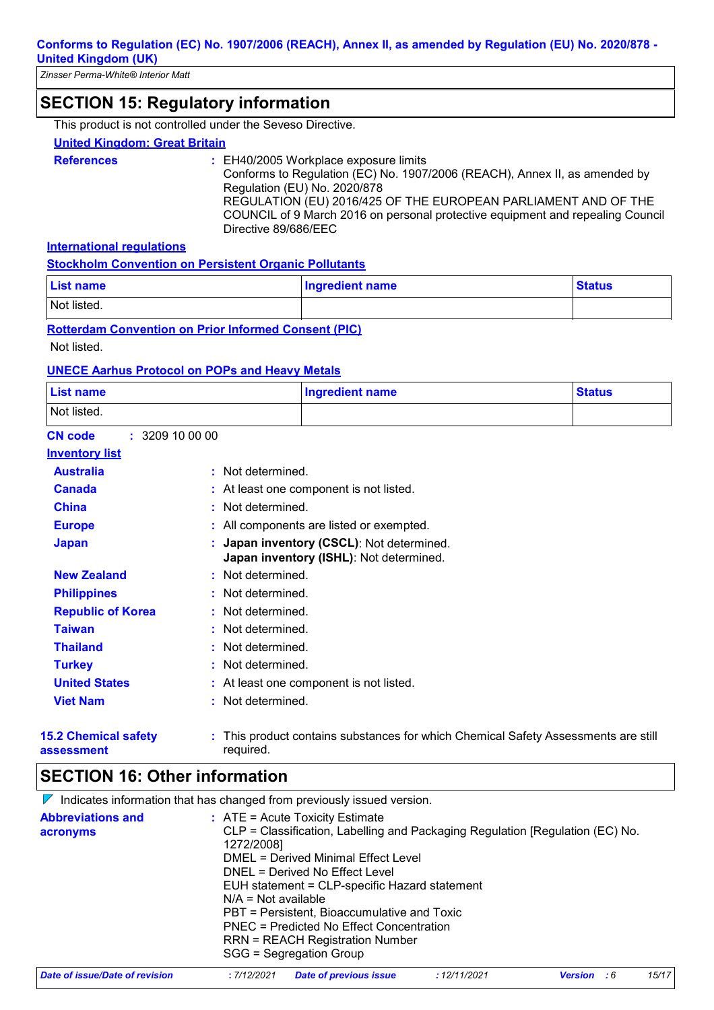# **SECTION 15: Regulatory information**

This product is not controlled under the Seveso Directive.

#### **United Kingdom: Great Britain**

- **References :** EH40/2005 Workplace exposure limits
	- Conforms to Regulation (EC) No. 1907/2006 (REACH), Annex II, as amended by Regulation (EU) No. 2020/878 REGULATION (EU) 2016/425 OF THE EUROPEAN PARLIAMENT AND OF THE

COUNCIL of 9 March 2016 on personal protective equipment and repealing Council Directive 89/686/EEC

**International regulations**

| <b>Stockholm Convention on Persistent Organic Pollutants</b> |
|--------------------------------------------------------------|
|--------------------------------------------------------------|

| <b>List name</b> | <b>Ingredient name</b> | <b>Status</b> |
|------------------|------------------------|---------------|
| Not listed.      |                        |               |

**Rotterdam Convention on Prior Informed Consent (PIC)**

Not listed.

#### **UNECE Aarhus Protocol on POPs and Heavy Metals**

| List name                      |                   | <b>Ingredient name</b>                                                             | <b>Status</b> |
|--------------------------------|-------------------|------------------------------------------------------------------------------------|---------------|
| Not listed.                    |                   |                                                                                    |               |
| : 3209100000<br><b>CN code</b> |                   |                                                                                    |               |
| <b>Inventory list</b>          |                   |                                                                                    |               |
| <b>Australia</b>               | : Not determined. |                                                                                    |               |
| <b>Canada</b>                  |                   | : At least one component is not listed.                                            |               |
| <b>China</b>                   | : Not determined. |                                                                                    |               |
| <b>Europe</b>                  |                   | : All components are listed or exempted.                                           |               |
| <b>Japan</b>                   |                   | Japan inventory (CSCL): Not determined.<br>Japan inventory (ISHL): Not determined. |               |
| <b>New Zealand</b>             | : Not determined. |                                                                                    |               |
| <b>Philippines</b>             | : Not determined. |                                                                                    |               |
| <b>Republic of Korea</b>       | : Not determined. |                                                                                    |               |
| <b>Taiwan</b>                  | : Not determined. |                                                                                    |               |
| <b>Thailand</b>                | : Not determined. |                                                                                    |               |
| <b>Turkey</b>                  | : Not determined. |                                                                                    |               |
| <b>United States</b>           |                   | : At least one component is not listed.                                            |               |
| <b>Viet Nam</b>                | : Not determined. |                                                                                    |               |
| <b>15.2 Chemical safety</b>    |                   | : This product contains substances for which Chemical Safety Assessments are still |               |

**assessment**

This product contains substances for which Chemical Safety Assessments are still required.

# **SECTION 16: Other information**

 $\nabla$  Indicates information that has changed from previously issued version.

| <b>Abbreviations and</b> | $:$ ATE = Acute Toxicity Estimate                                             |
|--------------------------|-------------------------------------------------------------------------------|
| acronyms                 | CLP = Classification, Labelling and Packaging Regulation [Regulation (EC) No. |
|                          | 1272/2008]                                                                    |
|                          | DMEL = Derived Minimal Effect Level                                           |
|                          | DNEL = Derived No Effect Level                                                |
|                          | EUH statement = CLP-specific Hazard statement                                 |
|                          | $N/A = Not available$                                                         |
|                          | PBT = Persistent, Bioaccumulative and Toxic                                   |
|                          | PNEC = Predicted No Effect Concentration                                      |
|                          | <b>RRN = REACH Registration Number</b>                                        |
|                          | SGG = Segregation Group                                                       |
|                          |                                                                               |

| Date of issue/Date of revision |  | : 7/12/2021 Date of previous issue | : 12/11/2021 | <b>Version</b> : 6 | 15/17 |  |
|--------------------------------|--|------------------------------------|--------------|--------------------|-------|--|
|--------------------------------|--|------------------------------------|--------------|--------------------|-------|--|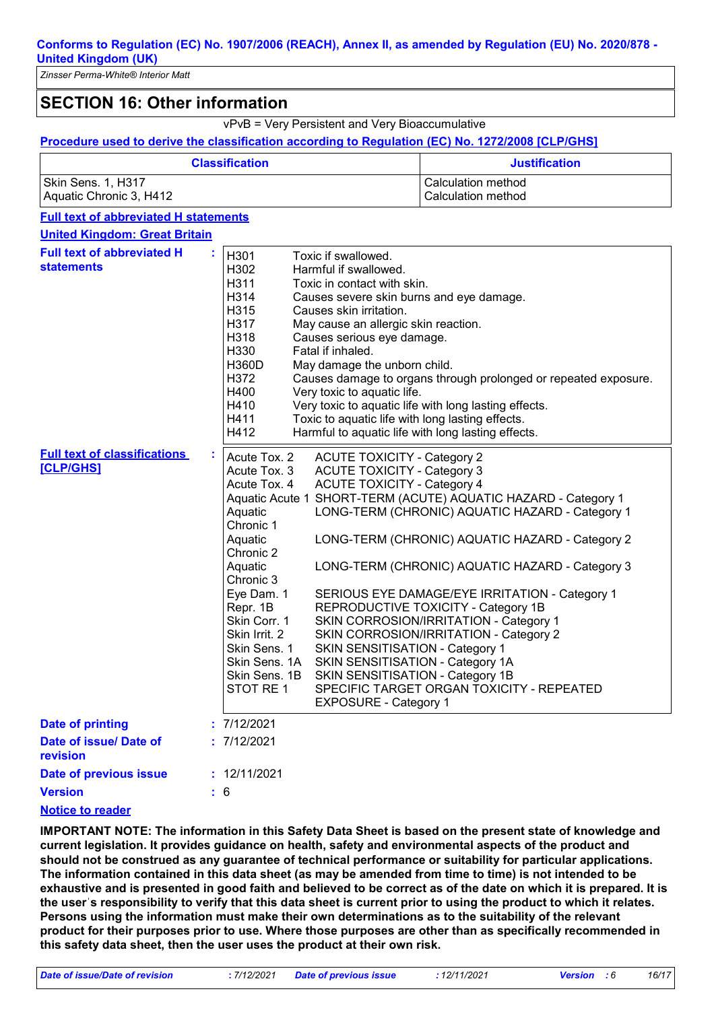*Zinsser Perma-White® Interior Matt*

# **SECTION 16: Other information**

vPvB = Very Persistent and Very Bioaccumulative

#### **Procedure used to derive the classification according to Regulation (EC) No. 1272/2008 [CLP/GHS]**

| <b>Classification</b>   | <b>Justification</b> |  |
|-------------------------|----------------------|--|
| Skin Sens. 1, H317      | Calculation method   |  |
| Aquatic Chronic 3, H412 | Calculation method   |  |

#### **Full text of abbreviated H statements**

| <b>United Kingdom: Great Britain</b>                    |    |                                                                                                                                                                                                                                               |                                                                                                                                                                                                                                                                                                                                                                                                                                                                                                                                                                                                                                                                                                                |
|---------------------------------------------------------|----|-----------------------------------------------------------------------------------------------------------------------------------------------------------------------------------------------------------------------------------------------|----------------------------------------------------------------------------------------------------------------------------------------------------------------------------------------------------------------------------------------------------------------------------------------------------------------------------------------------------------------------------------------------------------------------------------------------------------------------------------------------------------------------------------------------------------------------------------------------------------------------------------------------------------------------------------------------------------------|
| <b>Full text of abbreviated H</b><br><b>statements</b>  |    | H301<br>H302<br>H311<br>H314<br>H315<br>H317<br>H318<br>H330<br><b>H360D</b><br>H372<br>H400<br>H410<br>H411<br>H412                                                                                                                          | Toxic if swallowed.<br>Harmful if swallowed.<br>Toxic in contact with skin.<br>Causes severe skin burns and eye damage.<br>Causes skin irritation.<br>May cause an allergic skin reaction.<br>Causes serious eye damage.<br>Fatal if inhaled.<br>May damage the unborn child.<br>Causes damage to organs through prolonged or repeated exposure.<br>Very toxic to aquatic life.<br>Very toxic to aquatic life with long lasting effects.<br>Toxic to aquatic life with long lasting effects.<br>Harmful to aquatic life with long lasting effects.                                                                                                                                                             |
| <b>Full text of classifications</b><br><b>[CLP/GHS]</b> | ÷. | Acute Tox. 2<br>Acute Tox. 3<br>Acute Tox. 4<br>Aquatic<br>Chronic 1<br>Aquatic<br>Chronic 2<br>Aquatic<br>Chronic 3<br>Eye Dam. 1<br>Repr. 1B<br>Skin Corr. 1<br>Skin Irrit. 2<br>Skin Sens. 1<br>Skin Sens. 1A<br>Skin Sens. 1B<br>STOT RE1 | <b>ACUTE TOXICITY - Category 2</b><br><b>ACUTE TOXICITY - Category 3</b><br><b>ACUTE TOXICITY - Category 4</b><br>Aquatic Acute 1 SHORT-TERM (ACUTE) AQUATIC HAZARD - Category 1<br>LONG-TERM (CHRONIC) AQUATIC HAZARD - Category 1<br>LONG-TERM (CHRONIC) AQUATIC HAZARD - Category 2<br>LONG-TERM (CHRONIC) AQUATIC HAZARD - Category 3<br>SERIOUS EYE DAMAGE/EYE IRRITATION - Category 1<br>REPRODUCTIVE TOXICITY - Category 1B<br>SKIN CORROSION/IRRITATION - Category 1<br>SKIN CORROSION/IRRITATION - Category 2<br>SKIN SENSITISATION - Category 1<br>SKIN SENSITISATION - Category 1A<br>SKIN SENSITISATION - Category 1B<br>SPECIFIC TARGET ORGAN TOXICITY - REPEATED<br><b>EXPOSURE - Category 1</b> |
| <b>Date of printing</b>                                 |    | : 7/12/2021                                                                                                                                                                                                                                   |                                                                                                                                                                                                                                                                                                                                                                                                                                                                                                                                                                                                                                                                                                                |
| Date of issue/ Date of<br>revision                      |    | : 7/12/2021                                                                                                                                                                                                                                   |                                                                                                                                                                                                                                                                                                                                                                                                                                                                                                                                                                                                                                                                                                                |
| Date of previous issue                                  |    | : 12/11/2021                                                                                                                                                                                                                                  |                                                                                                                                                                                                                                                                                                                                                                                                                                                                                                                                                                                                                                                                                                                |
| <b>Version</b>                                          |    | : 6                                                                                                                                                                                                                                           |                                                                                                                                                                                                                                                                                                                                                                                                                                                                                                                                                                                                                                                                                                                |

#### **Notice to reader**

**IMPORTANT NOTE: The information in this Safety Data Sheet is based on the present state of knowledge and current legislation. It provides guidance on health, safety and environmental aspects of the product and should not be construed as any guarantee of technical performance or suitability for particular applications. The information contained in this data sheet (as may be amended from time to time) is not intended to be exhaustive and is presented in good faith and believed to be correct as of the date on which it is prepared. It is the userˈs responsibility to verify that this data sheet is current prior to using the product to which it relates. Persons using the information must make their own determinations as to the suitability of the relevant product for their purposes prior to use. Where those purposes are other than as specifically recommended in this safety data sheet, then the user uses the product at their own risk.**